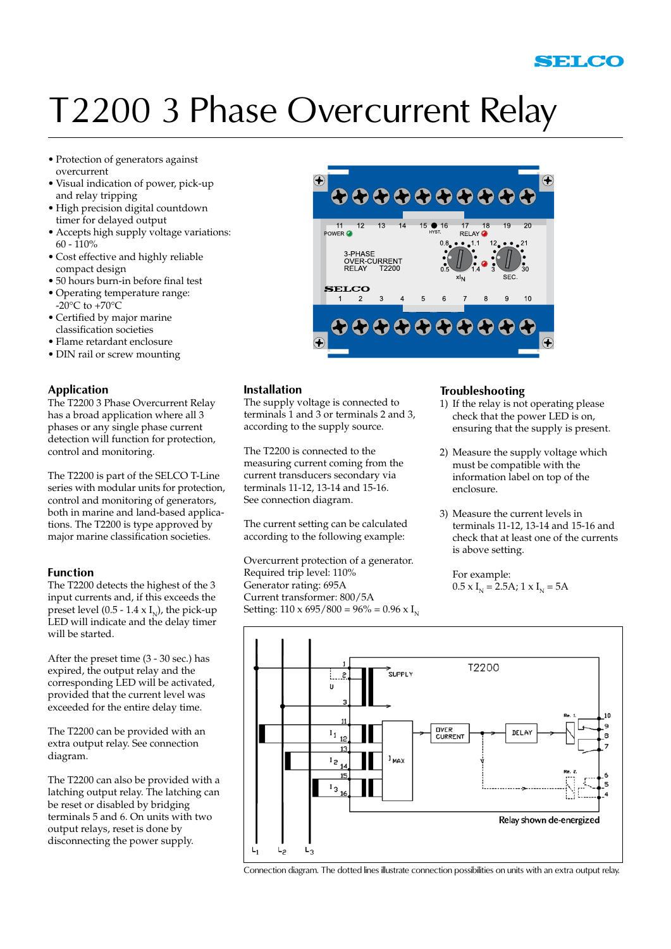## T2200 3 Phase Overcurrent Relay

- • Protection of generators against overcurrent
- • Visual indication of power, pick-up and relay tripping
- • High precision digital countdown timer for delayed output
- • Accepts high supply voltage variations:  $60 - 110%$
- • Cost effective and highly reliable compact design
- • 50 hours burn-in before final test
- • Operating temperature range:  $-20^{\circ}$ C to  $+70^{\circ}$ C
- • Certified by major marine classification societies
- • Flame retardant enclosure
- DIN rail or screw mounting

#### **Application**

The T2200 3 Phase Overcurrent Relay has a broad application where all 3 phases or any single phase current detection will function for protection, control and monitoring.

The T2200 is part of the SELCO T-Line series with modular units for protection, control and monitoring of generators, both in marine and land-based applications. The T2200 is type approved by major marine classification societies.

#### **Function**

The T2200 detects the highest of the 3 input currents and, if this exceeds the preset level  $(0.5 - 1.4 \times I_{N})$ , the pick-up LED will indicate and the delay timer will be started.

After the preset time (3 - 30 sec.) has expired, the output relay and the corresponding LED will be activated, provided that the current level was exceeded for the entire delay time.

The T2200 can be provided with an extra output relay. See connection diagram.

The T2200 can also be provided with a latching output relay. The latching can be reset or disabled by bridging terminals 5 and 6. On units with two output relays, reset is done by disconnecting the power supply.



#### **Installation**

The supply voltage is connected to terminals 1 and 3 or terminals 2 and 3, according to the supply source.

The T2200 is connected to the measuring current coming from the current transducers secondary via terminals 11-12, 13-14 and 15-16. See connection diagram.

The current setting can be calculated according to the following example:

Overcurrent protection of a generator. Required trip level: 110% Generator rating: 695A Current transformer: 800/5A Setting:  $110 \times 695 / 800 = 96\% = 0.96 \times I_{N}$ 

#### **Troubleshooting**

- 1) If the relay is not operating please check that the power LED is on, ensuring that the supply is present.
- 2) Measure the supply voltage which must be compatible with the information label on top of the enclosure.
- 3) Measure the current levels in terminals 11-12, 13-14 and 15-16 and check that at least one of the currents is above setting.

 For example:  $0.5 \times I_{N} = 2.5$ A;  $1 \times I_{N} = 5$ A



Connection diagram. The dotted lines illustrate connection possibilities on units with an extra output relay.